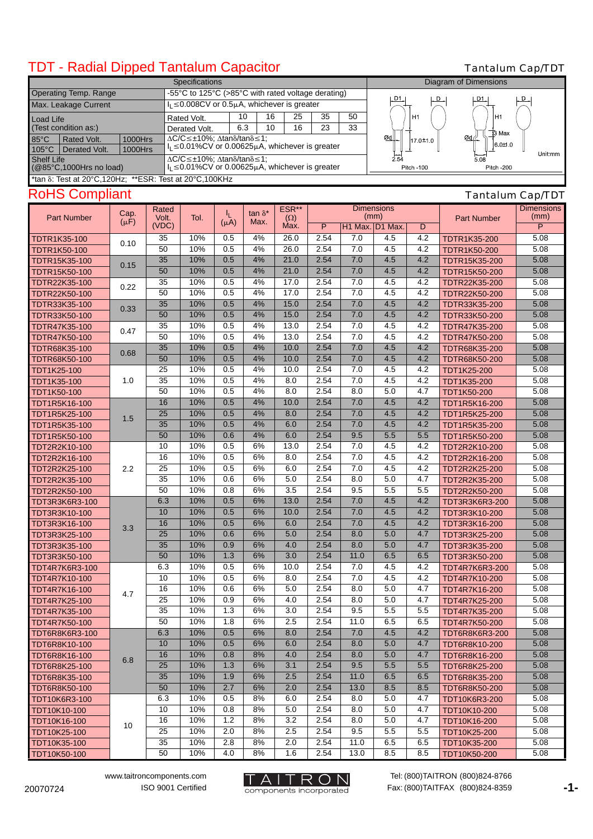# TDT - Radial Dipped Tantalum Capacitor Tantalum Cap Tantalum Cap/TDT



### RoHS Compliant **Now Tantalum Cap/TDT**

| <b>Part Number</b> | Cap.<br>$(\mu \dot{F})$ | Rated<br>Volt.  | Tol. | 址<br>$(\mu A)$ | tan $\delta^*$<br>Max. | ESR**<br>$(\Omega)$<br>Max. |      | <b>Dimensions</b><br>(mm) |     |     | <b>Part Number</b>   | <b>Dimensions</b><br>(mm) |
|--------------------|-------------------------|-----------------|------|----------------|------------------------|-----------------------------|------|---------------------------|-----|-----|----------------------|---------------------------|
|                    |                         | (VDC)           |      |                |                        |                             | P    | H1 Max. D1 Max.           |     | D   |                      | $\overline{P}$            |
| TDTR1K35-100       | 0.10                    | 35              | 10%  | 0.5            | 4%                     | 26.0                        | 2.54 | 7.0                       | 4.5 | 4.2 | TDTR1K35-200         | 5.08                      |
| TDTR1K50-100       |                         | 50              | 10%  | 0.5            | 4%                     | 26.0                        | 2.54 | 7.0                       | 4.5 | 4.2 | TDTR1K50-200         | 5.08                      |
| TDTR15K35-100      | 0.15                    | 35              | 10%  | 0.5            | 4%                     | 21.0                        | 2.54 | 7.0                       | 4.5 | 4.2 | TDTR15K35-200        | 5.08                      |
| TDTR15K50-100      |                         | 50              | 10%  | 0.5            | 4%                     | 21.0                        | 2.54 | 7.0                       | 4.5 | 4.2 | TDTR15K50-200        | 5.08                      |
| TDTR22K35-100      | 0.22                    | $\overline{35}$ | 10%  | 0.5            | 4%                     | 17.0                        | 2.54 | 7.0                       | 4.5 | 4.2 | TDTR22K35-200        | 5.08                      |
| TDTR22K50-100      |                         | 50              | 10%  | 0.5            | 4%                     | 17.0                        | 2.54 | 7.0                       | 4.5 | 4.2 | TDTR22K50-200        | 5.08                      |
| TDTR33K35-100      | 0.33                    | 35              | 10%  | 0.5            | 4%                     | 15.0                        | 2.54 | 7.0                       | 4.5 | 4.2 | TDTR33K35-200        | 5.08                      |
| TDTR33K50-100      |                         | 50              | 10%  | 0.5            | 4%                     | 15.0                        | 2.54 | 7.0                       | 4.5 | 4.2 | <b>TDTR33K50-200</b> | 5.08                      |
| TDTR47K35-100      | 0.47<br>0.68            | 35              | 10%  | 0.5            | 4%                     | 13.0                        | 2.54 | 7.0                       | 4.5 | 4.2 | TDTR47K35-200        | 5.08                      |
| TDTR47K50-100      |                         | 50              | 10%  | 0.5            | 4%                     | 13.0                        | 2.54 | 7.0                       | 4.5 | 4.2 | TDTR47K50-200        | 5.08                      |
| TDTR68K35-100      |                         | 35              | 10%  | 0.5            | 4%                     | 10.0                        | 2.54 | 7.0                       | 4.5 | 4.2 | TDTR68K35-200        | 5.08                      |
| TDTR68K50-100      |                         | 50              | 10%  | 0.5            | 4%                     | 10.0                        | 2.54 | 7.0                       | 4.5 | 4.2 | TDTR68K50-200        | 5.08                      |
| TDT1K25-100        |                         | 25              | 10%  | 0.5            | 4%                     | 10.0                        | 2.54 | 7.0                       | 4.5 | 4.2 | TDT1K25-200          | 5.08                      |
| TDT1K35-100        | 1.0                     | $\overline{35}$ | 10%  | 0.5            | 4%                     | 8.0                         | 2.54 | 7.0                       | 4.5 | 4.2 | TDT1K35-200          | 5.08                      |
| TDT1K50-100        |                         | 50              | 10%  | 0.5            | 4%                     | 8.0                         | 2.54 | 8.0                       | 5.0 | 4.7 | TDT1K50-200          | 5.08                      |
| TDT1R5K16-100      |                         | 16              | 10%  | 0.5            | 4%                     | 10.0                        | 2.54 | 7.0                       | 4.5 | 4.2 | TDT1R5K16-200        | 5.08                      |
| TDT1R5K25-100      | 1.5                     | 25              | 10%  | 0.5            | 4%                     | 8.0                         | 2.54 | 7.0                       | 4.5 | 4.2 | TDT1R5K25-200        | 5.08                      |
| TDT1R5K35-100      |                         | 35              | 10%  | 0.5            | 4%                     | 6.0                         | 2.54 | 7.0                       | 4.5 | 4.2 | TDT1R5K35-200        | 5.08                      |
| TDT1R5K50-100      |                         | 50              | 10%  | 0.6            | 4%                     | 6.0                         | 2.54 | 9.5                       | 5.5 | 5.5 | TDT1R5K50-200        | 5.08                      |
| TDT2R2K10-100      |                         | 10              | 10%  | 0.5            | 6%                     | 13.0                        | 2.54 | 7.0                       | 4.5 | 4.2 | TDT2R2K10-200        | 5.08                      |
| TDT2R2K16-100      |                         | 16              | 10%  | 0.5            | 6%                     | 8.0                         | 2.54 | 7.0                       | 4.5 | 4.2 | TDT2R2K16-200        | 5.08                      |
| TDT2R2K25-100      | 2.2                     | 25              | 10%  | 0.5            | 6%                     | 6.0                         | 2.54 | 7.0                       | 4.5 | 4.2 | TDT2R2K25-200        | 5.08                      |
| TDT2R2K35-100      |                         | 35              | 10%  | 0.6            | 6%                     | 5.0                         | 2.54 | 8.0                       | 5.0 | 4.7 | TDT2R2K35-200        | 5.08                      |
| TDT2R2K50-100      |                         | 50              | 10%  | 0.8            | 6%                     | 3.5                         | 2.54 | 9.5                       | 5.5 | 5.5 | TDT2R2K50-200        | 5.08                      |
| TDT3R3K6R3-100     |                         | 6.3             | 10%  | 0.5            | 6%                     | 13.0                        | 2.54 | 7.0                       | 4.5 | 4.2 | TDT3R3K6R3-200       | 5.08                      |
| TDT3R3K10-100      | 3.3                     | 10              | 10%  | 0.5            | 6%                     | 10.0                        | 2.54 | 7.0                       | 4.5 | 4.2 | TDT3R3K10-200        | 5.08                      |
| TDT3R3K16-100      |                         | 16              | 10%  | 0.5            | 6%                     | 6.0                         | 2.54 | 7.0                       | 4.5 | 4.2 | TDT3R3K16-200        | 5.08                      |
| TDT3R3K25-100      |                         | 25              | 10%  | 0.6            | 6%                     | 5.0                         | 2.54 | 8.0                       | 5.0 | 4.7 | TDT3R3K25-200        | 5.08                      |
| TDT3R3K35-100      |                         | 35              | 10%  | 0.9            | 6%                     | 4.0                         | 2.54 | 8.0                       | 5.0 | 4.7 | TDT3R3K35-200        | 5.08                      |
| TDT3R3K50-100      |                         | 50              | 10%  | 1.3            | 6%                     | 3.0                         | 2.54 | 11.0                      | 6.5 | 6.5 | TDT3R3K50-200        | 5.08                      |
| TDT4R7K6R3-100     |                         | 6.3             | 10%  | 0.5            | 6%                     | 10.0                        | 2.54 | 7.0                       | 4.5 | 4.2 | TDT4R7K6R3-200       | 5.08                      |
| TDT4R7K10-100      | 4.7                     | 10              | 10%  | 0.5            | 6%                     | 8.0                         | 2.54 | 7.0                       | 4.5 | 4.2 | TDT4R7K10-200        | 5.08                      |
| TDT4R7K16-100      |                         | 16              | 10%  | 0.6            | 6%                     | 5.0                         | 2.54 | 8.0                       | 5.0 | 4.7 | TDT4R7K16-200        | 5.08                      |
| TDT4R7K25-100      |                         | 25              | 10%  | 0.9            | 6%                     | 4.0                         | 2.54 | 8.0                       | 5.0 | 4.7 | TDT4R7K25-200        | 5.08                      |
| TDT4R7K35-100      |                         | $\overline{35}$ | 10%  | 1.3            | 6%                     | 3.0                         | 2.54 | 9.5                       | 5.5 | 5.5 | TDT4R7K35-200        | 5.08                      |
| TDT4R7K50-100      |                         | 50              | 10%  | 1.8            | 6%                     | 2.5                         | 2.54 | 11.0                      | 6.5 | 6.5 | TDT4R7K50-200        | 5.08                      |
| TDT6R8K6R3-100     |                         | 6.3             | 10%  | 0.5            | 6%                     | 8.0                         | 2.54 | 7.0                       | 4.5 | 4.2 | TDT6R8K6R3-200       | 5.08                      |
| TDT6R8K10-100      | 6.8                     | 10              | 10%  | 0.5            | 6%                     | 6.0                         | 2.54 | 8.0                       | 5.0 | 4.7 | TDT6R8K10-200        | 5.08                      |
| TDT6R8K16-100      |                         | 16              | 10%  | 0.8            | 8%                     | 4.0                         | 2.54 | 8.0                       | 5.0 | 4.7 | TDT6R8K16-200        | 5.08                      |
| TDT6R8K25-100      |                         | 25              | 10%  | 1.3            | 6%                     | 3.1                         | 2.54 | 9.5                       | 5.5 | 5.5 | TDT6R8K25-200        | 5.08                      |
| TDT6R8K35-100      |                         | 35              | 10%  | 1.9            | 6%                     | 2.5                         | 2.54 | 11.0                      | 6.5 | 6.5 | TDT6R8K35-200        | 5.08                      |
| TDT6R8K50-100      |                         | 50              | 10%  | 2.7            | 6%                     | 2.0                         | 2.54 | 13.0                      | 8.5 | 8.5 | TDT6R8K50-200        | 5.08                      |
| TDT10K6R3-100      | 10                      | 6.3             | 10%  | 0.5            | 8%                     | 6.0                         | 2.54 | 8.0                       | 5.0 | 4.7 | TDT10K6R3-200        | 5.08                      |
| TDT10K10-100       |                         | 10              | 10%  | 0.8            | 8%                     | 5.0                         | 2.54 | 8.0                       | 5.0 | 4.7 | TDT10K10-200         | 5.08                      |
| TDT10K16-100       |                         | 16              | 10%  | 1.2            | 8%                     | 3.2                         | 2.54 | 8.0                       | 5.0 | 4.7 | TDT10K16-200         | 5.08                      |
| TDT10K25-100       |                         | 25              | 10%  | 2.0            | 8%                     | 2.5                         | 2.54 | 9.5                       | 5.5 | 5.5 | TDT10K25-200         | 5.08                      |
| TDT10K35-100       |                         | 35              | 10%  | 2.8            | 8%                     | 2.0                         | 2.54 | 11.0                      | 6.5 | 6.5 | TDT10K35-200         | 5.08                      |
| TDT10K50-100       |                         | 50              | 10%  | 4.0            | 8%                     | 1.6                         | 2.54 | 13.0                      | 8.5 | 8.5 | TDT10K50-200         | 5.08                      |

www.taitroncomponents.com ISO 9001 Certified



Tel: (800)TAITRON (800)824-8766